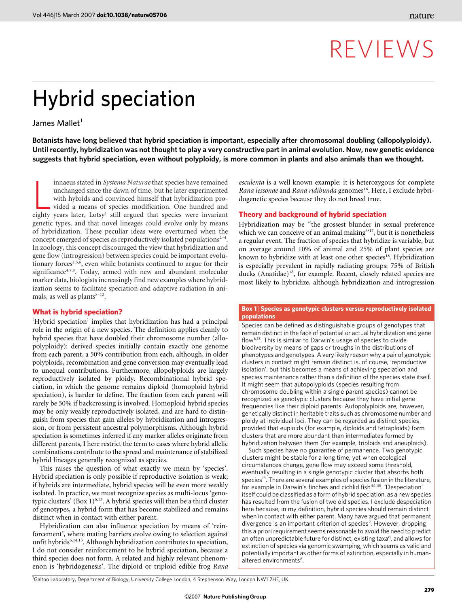## REVIEWS

# Hybrid speciation

James Mallet $1$ 

Botanists have long believed that hybrid speciation is important, especially after chromosomal doubling (allopolyploidy). Until recently, hybridization was not thought to play a very constructive part in animal evolution. Now, new genetic evidence suggests that hybrid speciation, even without polyploidy, is more common in plants and also animals than we thought.

innaeus stated in *Systema Naturae* that species have remained unchanged since the dawn of time, but he later experimented with hybrids and convinced himself that hybridization provided a means of species modification. One innaeus stated in Systema Naturae that species have remained unchanged since the dawn of time, but he later experimented with hybrids and convinced himself that hybridization provided a means of species modification. One hundred and genetic types, and that novel lineages could evolve only by means of hybridization. These peculiar ideas were overturned when the concept emerged of species as reproductively isolated populations $2^{-4}$ . In zoology, this concept discouraged the view that hybridization and gene flow (introgression) between species could be important evolutionary forces<sup>2,5,6</sup>, even while botanists continued to argue for their significance<sup>4,7,8</sup>. Today, armed with new and abundant molecular marker data, biologists increasingly find new examples where hybridization seems to facilitate speciation and adaptive radiation in animals, as well as plants $8-12$ .

## What is hybrid speciation?

'Hybrid speciation' implies that hybridization has had a principal role in the origin of a new species. The definition applies cleanly to hybrid species that have doubled their chromosome number (allopolyploidy): derived species initially contain exactly one genome from each parent, a 50% contribution from each, although, in older polyploids, recombination and gene conversion may eventually lead to unequal contributions. Furthermore, allopolyploids are largely reproductively isolated by ploidy. Recombinational hybrid speciation, in which the genome remains diploid (homoploid hybrid speciation), is harder to define. The fraction from each parent will rarely be 50% if backcrossing is involved. Homoploid hybrid species may be only weakly reproductively isolated, and are hard to distinguish from species that gain alleles by hybridization and introgression, or from persistent ancestral polymorphisms. Although hybrid speciation is sometimes inferred if any marker alleles originate from different parents, I here restrict the term to cases where hybrid allelic combinations contribute to the spread and maintenance of stabilized hybrid lineages generally recognized as species.

This raises the question of what exactly we mean by 'species'. Hybrid speciation is only possible if reproductive isolation is weak; if hybrids are intermediate, hybrid species will be even more weakly isolated. In practice, we must recognize species as multi-locus 'genotypic clusters' (Box 1)<sup>6,13</sup>. A hybrid species will then be a third cluster of genotypes, a hybrid form that has become stabilized and remains distinct when in contact with either parent.

Hybridization can also influence speciation by means of 'reinforcement', where mating barriers evolve owing to selection against unfit hybrids<sup>6,14,15</sup>. Although hybridization contributes to speciation, I do not consider reinforcement to be hybrid speciation, because a third species does not form. A related and highly relevant phenomenon is 'hybridogenesis'. The diploid or triploid edible frog Rana

esculenta is a well known example: it is heterozygous for complete Rana lessonae and Rana ridibunda genomes<sup>16</sup>. Here, I exclude hybridogenetic species because they do not breed true.

## Theory and background of hybrid speciation

Hybridization may be ''the grossest blunder in sexual preference which we can conceive of an animal making"<sup>17</sup>, but it is nonetheless a regular event. The fraction of species that hybridize is variable, but on average around 10% of animal and 25% of plant species are known to hybridize with at least one other species<sup>18</sup>. Hybridization is especially prevalent in rapidly radiating groups: 75% of British ducks (Anatidae)<sup>18</sup>, for example. Recent, closely related species are most likely to hybridize, although hybridization and introgression

#### Box 1 | Species as genotypic clusters versus reproductively isolated populations

Species can be defined as distinguishable groups of genotypes that remain distinct in the face of potential or actual hybridization and gene flow6,13. This is similar to Darwin's usage of species to divide biodiversity by means of gaps or troughs in the distributions of phenotypes and genotypes. A very likely reason why a pair of genotypic clusters in contact might remain distinct is, of course, 'reproductive isolation', but this becomes a means of achieving speciation and species maintenance rather than a definition of the species state itself. It might seem that autopolyploids (species resulting from chromosome doubling within a single parent species) cannot be recognized as genotypic clusters because they have initial gene frequencies like their diploid parents. Autopolyploids are, however, genetically distinct in heritable traits such as chromosome number and ploidy at individual loci. They can be regarded as distinct species provided that euploids (for example, diploids and tetraploids) form clusters that are more abundant than intermediates formed by hybridization between them (for example, triploids and aneuploids).

Such species have no guarantee of permanence. Two genotypic clusters might be stable for a long time, yet when ecological circumstances change, gene flow may exceed some threshold, eventually resulting in a single genotypic cluster that absorbs both species<sup>13</sup>. There are several examples of species fusion in the literature, for example in Darwin's finches and cichlid fish<sup>44,45</sup>. 'Despeciation' itself could be classified as a form of hybrid speciation, as a new species has resulted from the fusion of two old species. I exclude despeciation here because, in my definition, hybrid species should remain distinct when in contact with either parent. Many have argued that permanent divergence is an important criterion of species<sup>2</sup>. However, dropping this a priori requirement seems reasonable to avoid the need to predict an often unpredictable future for distinct, existing taxa<sup>6</sup>, and allows for extinction of species via genomic swamping, which seems as valid and potentially important as other forms of extinction, especially in humanaltered environments<sup>8</sup>.

<sup>1</sup>Galton Laboratory, Department of Biology, University College London, 4 Stephenson Way, London NW1 2HE, UK.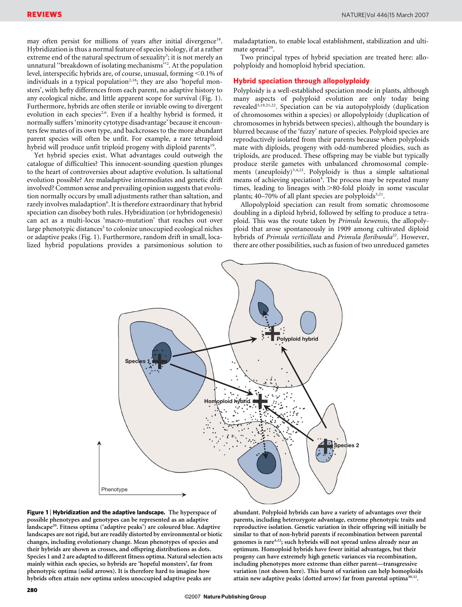may often persist for millions of years after initial divergence<sup>18</sup>. Hybridization is thus a normal feature of species biology, if at a rather extreme end of the natural spectrum of sexuality<sup>5</sup>; it is not merely an unnatural ''breakdown of isolating mechanisms''<sup>2</sup> . At the population level, interspecific hybrids are, of course, unusual, forming <0.1% of individuals in a typical population<sup>2,18</sup>; they are also 'hopeful monsters', with hefty differences from each parent, no adaptive history to any ecological niche, and little apparent scope for survival (Fig. 1). Furthermore, hybrids are often sterile or inviable owing to divergent evolution in each species<sup>2,6</sup>. Even if a healthy hybrid is formed, it normally suffers 'minority cytotype disadvantage' because it encounters few mates of its own type, and backcrosses to the more abundant parent species will often be unfit. For example, a rare tetraploid hybrid will produce unfit triploid progeny with diploid parents<sup>19</sup>.

Yet hybrid species exist. What advantages could outweigh the catalogue of difficulties? This innocent-sounding question plunges to the heart of controversies about adaptive evolution. Is saltational evolution possible? Are maladaptive intermediates and genetic drift involved? Common sense and prevailing opinion suggests that evolution normally occurs by small adjustments rather than saltation, and rarely involves maladaption<sup>6</sup>. It is therefore extraordinary that hybrid speciation can disobey both rules. Hybridization (or hybridogenesis) can act as a multi-locus 'macro-mutation' that reaches out over large phenotypic distances<sup>5</sup> to colonize unoccupied ecological niches or adaptive peaks (Fig. 1). Furthermore, random drift in small, localized hybrid populations provides a parsimonious solution to maladaptation, to enable local establishment, stabilization and ultimate spread<sup>20</sup>.

Two principal types of hybrid speciation are treated here: allopolyploidy and homoploid hybrid speciation.

### Hybrid speciation through allopolyploidy

Polyploidy is a well-established speciation mode in plants, although many aspects of polyploid evolution are only today being revealed3,19,21,22. Speciation can be via autopolyploidy (duplication of chromosomes within a species) or allopolyploidy (duplication of chromosomes in hybrids between species), although the boundary is blurred because of the 'fuzzy' nature of species. Polyploid species are reproductively isolated from their parents because when polyploids mate with diploids, progeny with odd-numbered ploidies, such as triploids, are produced. These offspring may be viable but typically produce sterile gametes with unbalanced chromosomal complements (aneuploidy)<sup>3,4,22</sup>. Polyploidy is thus a simple saltational means of achieving speciation<sup>4</sup>. The process may be repeated many times, leading to lineages with  $>80$ -fold ploidy in some vascular plants;  $40-70\%$  of all plant species are polyploids<sup>3,21</sup>.

Allopolyploid speciation can result from somatic chromosome doubling in a diploid hybrid, followed by selfing to produce a tetraploid. This was the route taken by Primula kewensis, the allopolyploid that arose spontaneously in 1909 among cultivated diploid hybrids of Primula verticillata and Primula floribunda<sup>22</sup>. However, there are other possibilities, such as fusion of two unreduced gametes



Figure 1 | Hybridization and the adaptive landscape. The hyperspace of possible phenotypes and genotypes can be represented as an adaptive landscape<sup>20</sup>. Fitness optima ('adaptive peaks') are coloured blue. Adaptive landscapes are not rigid, but are readily distorted by environmental or biotic changes, including evolutionary change. Mean phenotypes of species and their hybrids are shown as crosses, and offspring distributions as dots. Species 1 and 2 are adapted to different fitness optima. Natural selection acts mainly within each species, so hybrids are 'hopeful monsters', far from phenotypic optima (solid arrows). It is therefore hard to imagine how hybrids often attain new optima unless unoccupied adaptive peaks are

abundant. Polyploid hybrids can have a variety of advantages over their parents, including heterozygote advantage, extreme phenotypic traits and reproductive isolation. Genetic variation in their offspring will initially be similar to that of non-hybrid parents if recombination between parental genomes is rare<sup>4,22</sup>; such hybrids will not spread unless already near an optimum. Homoploid hybrids have fewer initial advantages, but their progeny can have extremely high genetic variances via recombination, including phenotypes more extreme than either parent—transgressive variation (not shown here). This burst of variation can help homoploids attain new adaptive peaks (dotted arrow) far from parental optima<sup>30</sup>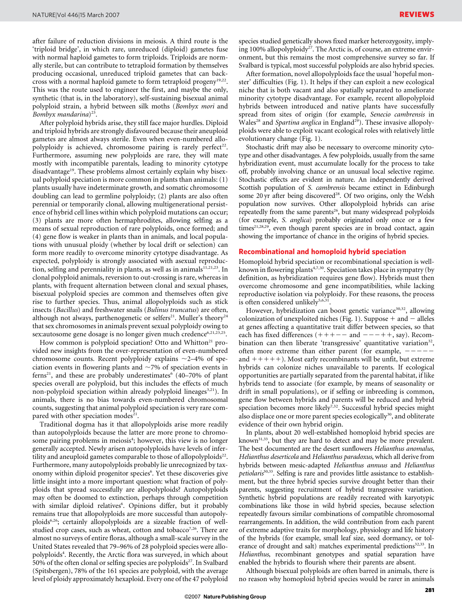after failure of reduction divisions in meiosis. A third route is the 'triploid bridge', in which rare, unreduced (diploid) gametes fuse with normal haploid gametes to form triploids. Triploids are normally sterile, but can contribute to tetraploid formation by themselves producing occasional, unreduced triploid gametes that can backcross with a normal haploid gamete to form tetraploid progeny<sup>19,22</sup>. This was the route used to engineer the first, and maybe the only, synthetic (that is, in the laboratory), self-sustaining bisexual animal polyploid strain, a hybrid between silk moths (Bombyx mori and Bombyx mandarina)<sup>23</sup>.

After polyploid hybrids arise, they still face major hurdles. Diploid and triploid hybrids are strongly disfavoured because their aneuploid gametes are almost always sterile. Even when even-numbered allopolyploidy is achieved, chromosome pairing is rarely perfect<sup>22</sup>. Furthermore, assuming new polyploids are rare, they will mate mostly with incompatible parentals, leading to minority cytotype disadvantage<sup>19</sup>. These problems almost certainly explain why bisexual polyploid speciation is more common in plants than animals: (1) plants usually have indeterminate growth, and somatic chromosome doubling can lead to germline polyploidy; (2) plants are also often perennial or temporarily clonal, allowing multigenerational persistence of hybrid cell lines within which polyploid mutations can occur; (3) plants are more often hermaphrodites, allowing selfing as a means of sexual reproduction of rare polyploids, once formed; and (4) gene flow is weaker in plants than in animals, and local populations with unusual ploidy (whether by local drift or selection) can form more readily to overcome minority cytotype disadvantage. As expected, polyploidy is strongly associated with asexual reproduction, selfing and perenniality in plants, as well as in animals $\frac{1}{1,21,23}$ . In clonal polyploid animals, reversion to out-crossing is rare, whereas in plants, with frequent alternation between clonal and sexual phases, bisexual polyploid species are common and themselves often give rise to further species. Thus, animal allopolyploids such as stick insects (Bacillus) and freshwater snails (Bulinus truncatus) are often, although not always, parthenogenetic or selfers<sup>21</sup>. Muller's theory<sup>24</sup> that sex chromosomes in animals prevent sexual polyploidy owing to sex:autosome gene dosage is no longer given much credence<sup>6,21,23,25</sup>.

How common is polyploid speciation? Otto and Whitton<sup>21</sup> provided new insights from the over-representation of even-numbered chromosome counts. Recent polyploidy explains  $\sim$ 2–4% of speciation events in flowering plants and  $\sim$ 7% of speciation events in ferns<sup>21</sup>, and these are probably underestimates<sup>6</sup> (40–70% of plant species overall are polyploid, but this includes the effects of much non-polyploid speciation within already polyploid lineages<sup>3,21</sup>). In animals, there is no bias towards even-numbered chromosomal counts, suggesting that animal polyploid speciation is very rare compared with other speciation modes<sup>21</sup>.

Traditional dogma has it that allopolyploids arise more readily than autopolyploids because the latter are more prone to chromosome pairing problems in meiosis<sup>4</sup>; however, this view is no longer generally accepted. Newly arisen autopolyploids have levels of infertility and aneuploid gametes comparable to those of allopolyploids<sup>22</sup>. Furthermore, many autopolyploids probably lie unrecognized by taxonomy within diploid progenitor species<sup>6</sup>. Yet these discoveries give little insight into a more important question: what fraction of polyploids that spread successfully are allopolyploids? Autopolyploids may often be doomed to extinction, perhaps through competition with similar diploid relatives<sup>6</sup>. Opinions differ, but it probably remains true that allopolyploids are more successful than autopolyploids<sup>6,26</sup>; certainly allopolyploids are a sizeable fraction of wellstudied crop cases, such as wheat, cotton and tobacco<sup>7,26</sup>. There are almost no surveys of entire floras, although a small-scale survey in the United States revealed that 79–96% of 28 polyploid species were allopolyploids<sup>4</sup>. Recently, the Arctic flora was surveyed, in which about 50% of the often clonal or selfing species are polyploids $27$ . In Svalbard (Spitsbergen), 78% of the 161 species are polyploid, with the average level of ploidy approximately hexaploid. Every one of the 47 polyploid

species studied genetically shows fixed marker heterozygosity, implying 100% allopolyploidy<sup>27</sup>. The Arctic is, of course, an extreme environment, but this remains the most comprehensive survey so far. If Svalbard is typical, most successful polyploids are also hybrid species.

After formation, novel allopolyploids face the usual 'hopeful monster' difficulties (Fig. 1). It helps if they can exploit a new ecological niche that is both vacant and also spatially separated to ameliorate minority cytotype disadvantage. For example, recent allopolyploid hybrids between introduced and native plants have successfully spread from sites of origin (for example, Senecio cambrensis in Wales<sup>28</sup> and *Spartina anglica* in England<sup>29</sup>). These invasive allopolyploids were able to exploit vacant ecological roles with relatively little evolutionary change (Fig. 1).

Stochastic drift may also be necessary to overcome minority cytotype and other disadvantages. A few polyploids, usually from the same hybridization event, must accumulate locally for the process to take off, probably involving chance or an unusual local selective regime. Stochastic effects are evident in nature. An independently derived Scottish population of S. *cambrensis* became extinct in Edinburgh some 20 yr after being discovered<sup>28</sup>. Of two origins, only the Welsh population now survives. Other allopolyploid hybrids can arise repeatedly from the same parents<sup>26</sup>, but many widespread polyploids (for example, S. anglica) probably originated only once or a few  $times<sup>21,28,29</sup>$ , even though parent species are in broad contact, again showing the importance of chance in the origins of hybrid species.

#### Recombinational and homoploid hybrid speciation

Homoploid hybrid speciation or recombinational speciation is wellknown in flowering plants<sup>4,7,30</sup>. Speciation takes place in sympatry (by definition, as hybridization requires gene flow). Hybrids must then overcome chromosome and gene incompatibilities, while lacking reproductive isolation via polyploidy. For these reasons, the process is often considered unlikely $5,6,31$ .

However, hybridization can boost genetic variance<sup>30,32</sup>, allowing colonization of unexploited niches (Fig. 1). Suppose  $+$  and  $-$  alleles at genes affecting a quantitative trait differ between species, so that each has fixed differences  $(+++--$  and  $---++$ , say). Recombination can then liberate 'transgressive' quantitative variation<sup>32</sup>, often more extreme than either parent (for example,  $--$ and  $+++$ ). Most early recombinants will be unfit, but extreme hybrids can colonize niches unavailable to parents. If ecological opportunities are partially separated from the parental habitat, if like hybrids tend to associate (for example, by means of seasonality or drift in small populations), or if selfing or inbreeding is common, gene flow between hybrids and parents will be reduced and hybrid speciation becomes more likely<sup>7,32</sup>. Successful hybrid species might also displace one or more parent species ecologically<sup>30</sup>, and obliterate evidence of their own hybrid origin.

In plants, about 20 well-established homoploid hybrid species are known31,33, but they are hard to detect and may be more prevalent. The best documented are the desert sunflowers Helianthus anomalus, Helianthus deserticola and Helianthus paradoxus, which all derive from hybrids between mesic-adapted Helianthus annuus and Helianthus petiolaris $30,33$ . Selfing is rare and provides little assistance to establishment, but the three hybrid species survive drought better than their parents, suggesting recruitment of hybrid transgressive variation. Synthetic hybrid populations are readily recreated with karyotypic combinations like those in wild hybrid species, because selection repeatedly favours similar combinations of compatible chromosomal rearrangements. In addition, the wild contribution from each parent of extreme adaptive traits for morphology, physiology and life history of the hybrids (for example, small leaf size, seed dormancy, or tolerance of drought and salt) matches experimental predictions<sup>32,33</sup>. In Helianthus, recombinant genotypes and spatial separation have enabled the hybrids to flourish where their parents are absent.

Although bisexual polyploids are often barred in animals, there is no reason why homoploid hybrid species would be rarer in animals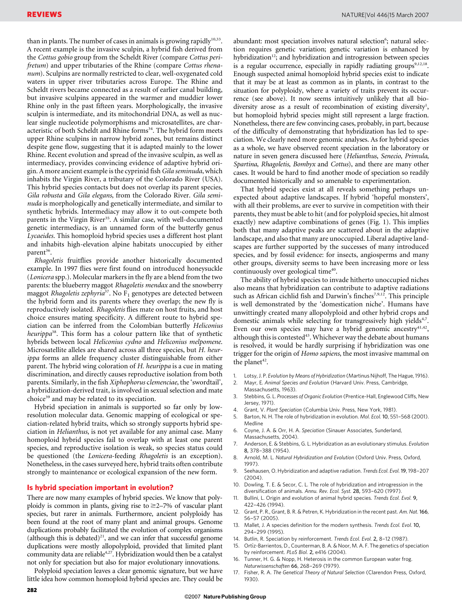than in plants. The number of cases in animals is growing rapidly<sup>10,33</sup>. A recent example is the invasive sculpin, a hybrid fish derived from the Cottus gobio group from the Scheldt River (compare Cottus perifretum) and upper tributaries of the Rhine (compare Cottus rhenanum). Sculpins are normally restricted to clear, well-oxygenated cold waters in upper river tributaries across Europe. The Rhine and Scheldt rivers became connected as a result of earlier canal building, but invasive sculpins appeared in the warmer and muddier lower Rhine only in the past fifteen years. Morphologically, the invasive sculpin is intermediate, and its mitochondrial DNA, as well as nuclear single nucleotide polymorphisms and microsatellites, are characteristic of both Scheldt and Rhine forms<sup>34</sup>. The hybrid form meets upper Rhine sculpins in narrow hybrid zones, but remains distinct despite gene flow, suggesting that it is adapted mainly to the lower Rhine. Recent evolution and spread of the invasive sculpin, as well as intermediacy, provides convincing evidence of adaptive hybrid origin. A more ancient example is the cyprinid fish Gila seminuda, which inhabits the Virgin River, a tributary of the Colorado River (USA). This hybrid species contacts but does not overlap its parent species, Gila robusta and Gila elegans, from the Colorado River. Gila seminuda is morphologically and genetically intermediate, and similar to synthetic hybrids. Intermediacy may allow it to out-compete both parents in the Virgin River<sup>35</sup>. A similar case, with well-documented genetic intermediacy, is an unnamed form of the butterfly genus Lycaeides. This homoploid hybrid species uses a different host plant and inhabits high-elevation alpine habitats unoccupied by either  $parent^{36}$ .

Rhagoletis fruitflies provide another historically documented example. In 1997 flies were first found on introduced honeysuckle (Lonicera spp.). Molecular markers in the fly are a blend from the two parents: the blueberry maggot Rhagoletis mendax and the snowberry maggot *Rhagoletis zephyria*<sup>37</sup>. No  $F_1$  genotypes are detected between the hybrid form and its parents where they overlap; the new fly is reproductively isolated. Rhagoletis flies mate on host fruits, and host choice ensures mating specificity. A different route to hybrid speciation can be inferred from the Colombian butterfly Heliconius heurippa $38$ . This form has a colour pattern like that of synthetic hybrids between local Heliconius cydno and Heliconius melpomene. Microsatellite alleles are shared across all three species, but H. heurippa forms an allele frequency cluster distinguishable from either parent. The hybrid wing coloration of H. heurippa is a cue in mating discrimination, and directly causes reproductive isolation from both parents. Similarly, in the fish Xiphophorus clemenciae, the 'swordtail', a hybridization-derived trait, is involved in sexual selection and mate choice<sup>39</sup> and may be related to its speciation.

Hybrid speciation in animals is supported so far only by lowresolution molecular data. Genomic mapping of ecological or speciation-related hybrid traits, which so strongly supports hybrid speciation in Helianthus, is not yet available for any animal case. Many homoploid hybrid species fail to overlap with at least one parent species, and reproductive isolation is weak, so species status could be questioned (the Lonicera-feeding Rhagoletis is an exception). Nonetheless, in the cases surveyed here, hybrid traits often contribute strongly to maintenance or ecological expansion of the new form.

#### Is hybrid speciation important in evolution?

There are now many examples of hybrid species. We know that polyploidy is common in plants, giving rise to  $\geq$ 2-7% of vascular plant species, but rarer in animals. Furthermore, ancient polyploidy has been found at the root of many plant and animal groups. Genome duplications probably facilitated the evolution of complex organisms (although this is debated)<sup>21</sup>, and we can infer that successful genome duplications were mostly allopolyploid, provided that limited plant community data are reliable<sup>4,27</sup>. Hybridization would then be a catalyst not only for speciation but also for major evolutionary innovations.

Polyploid speciation leaves a clear genomic signature, but we have little idea how common homoploid hybrid species are. They could be abundant: most speciation involves natural selection<sup>6</sup>; natural selection requires genetic variation; genetic variation is enhanced by hybridization<sup>12</sup>; and hybridization and introgression between species is a regular occurrence, especially in rapidly radiating groups<sup>9,12,18</sup>. Enough suspected animal homoploid hybrid species exist to indicate that it may be at least as common as in plants, in contrast to the situation for polyploidy, where a variety of traits prevent its occurrence (see above). It now seems intuitively unlikely that all biodiversity arose as a result of recombination of existing diversity<sup>1</sup>, but homoploid hybrid species might still represent a large fraction. Nonetheless, there are few convincing cases, probably, in part, because of the difficulty of demonstrating that hybridization has led to speciation. We clearly need more genomic analyses. As for hybrid species as a whole, we have observed recent speciation in the laboratory or nature in seven genera discussed here (Helianthus, Senecio, Primula, Spartina, Rhagoletis, Bombyx and Cottus), and there are many other cases. It would be hard to find another mode of speciation so readily documented historically and so amenable to experimentation.

That hybrid species exist at all reveals something perhaps unexpected about adaptive landscapes. If hybrid 'hopeful monsters', with all their problems, are ever to survive in competition with their parents, they must be able to hit (and for polyploid species, hit almost exactly) new adaptive combinations of genes (Fig. 1). This implies both that many adaptive peaks are scattered about in the adaptive landscape, and also that many are unoccupied. Liberal adaptive landscapes are further supported by the successes of many introduced species, and by fossil evidence: for insects, angiosperms and many other groups, diversity seems to have been increasing more or less continuously over geological time<sup>40</sup>.

The ability of hybrid species to invade hitherto unoccupied niches also means that hybridization can contribute to adaptive radiations such as African cichlid fish and Darwin's finches<sup>7,9,12</sup>. This principle is well demonstrated by the 'domestication niche'. Humans have unwittingly created many allopolyploid and other hybrid crops and domestic animals while selecting for transgressively high yields<sup>4,7</sup>. Even our own species may have a hybrid genomic ancestry $41,42$ , although this is contested $43$ . Whichever way the debate about humans is resolved, it would be hardly surprising if hybridization was one trigger for the origin of Homo sapiens, the most invasive mammal on the planet<sup>42</sup>.

- Lotsy, J. P. Evolution by Means of Hybridization (Martinus Nijhoff, The Hague, 1916).
- 2. Mayr, E. Animal Species and Evolution (Harvard Univ. Press, Cambridge, Massachusetts, 1963).
- Stebbins, G. L. Processes of Organic Evolution (Prentice-Hall, Englewood Cliffs, New Jersey, 1971).
- 4. Grant, V. Plant Speciation (Columbia Univ. Press, New York, 1981).
- 5. Barton, N. H. The role of hybridization in evolution. Mol. Ecol. 10, 551–568 (2001). Medline
- 6. Coyne, J. A. & Orr, H. A. Speciation (Sinauer Associates, Sunderland, Massachusetts, 2004).
- 7. Anderson, E. & Stebbins, G. L. Hybridization as an evolutionary stimulus. Evolution 8, 378–388 (1954).
- 8. Arnold, M. L. Natural Hybridization and Evolution (Oxford Univ. Press, Oxford, 1997).
- 9. Seehausen, O. Hybridization and adaptive radiation. Trends Ecol. Evol. 19, 198–207 (2004).
- 10. Dowling, T. E. & Secor, C. L. The role of hybridization and introgression in the diversification of animals. Annu. Rev. Ecol. Syst. 28, 593–620 (1997).
- 11. Bullini, L. Origin and evolution of animal hybrid species. Trends Ecol. Evol. 9, 422–426 (1994).
- 12. Grant, P. R., Grant, B. R. & Petren, K. Hybridization in the recent past. Am. Nat. 166, 56–57 (2005).
- 13. Mallet, J. A species definition for the modern synthesis. Trends Ecol. Evol. 10, 294–299 (1995).
- 14. Butlin, R. Speciation by reinforcement. Trends Ecol. Evol. 2, 8–12 (1987).
- Ortíz-Barrientos, D., Counterman, B. A. & Noor, M. A. F. The genetics of speciation by reinforcement. PLoS Biol. 2, e416 (2004).
- 16. Tunner, H. G. & Nopp, H. Heterosis in the common European water frog. Naturwissenschaften 66, 268–269 (1979).
- 17. Fisher, R. A. The Genetical Theory of Natural Selection (Clarendon Press, Oxford, 1930).